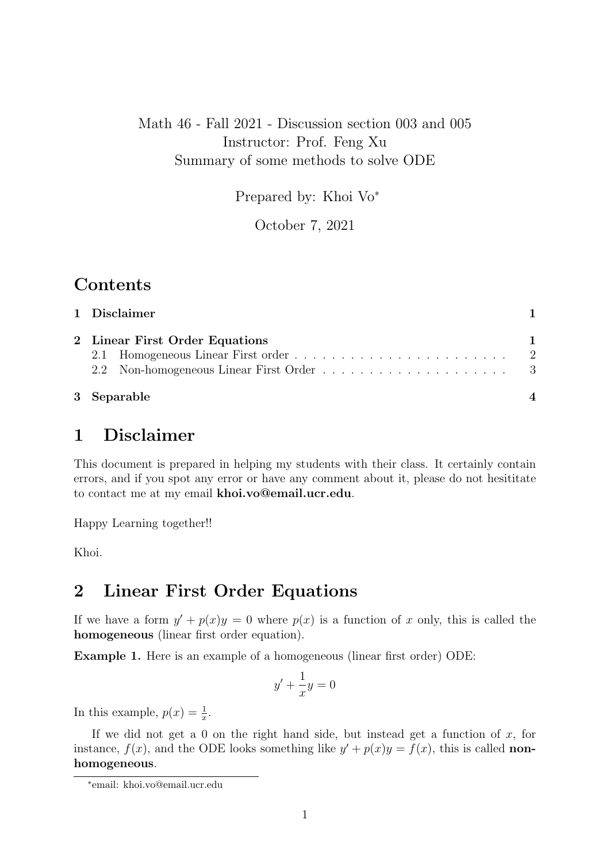## Math 46 - Fall 2021 - Discussion section 003 and 005 Instructor: Prof. Feng Xu Summary of some methods to solve ODE

Prepared by: Khoi Vo<sup>∗</sup>

October 7, 2021

## Contents

| 1 Disclaimer                   |  |
|--------------------------------|--|
| 2 Linear First Order Equations |  |
|                                |  |
| 3 Separable                    |  |

# 1 Disclaimer

This document is prepared in helping my students with their class. It certainly contain errors, and if you spot any error or have any comment about it, please do not hesititate to contact me at my email khoi.vo@email.ucr.edu.

Happy Learning together!!

Khoi.

## 2 Linear First Order Equations

If we have a form  $y' + p(x)y = 0$  where  $p(x)$  is a function of x only, this is called the homogeneous (linear first order equation).

Example 1. Here is an example of a homogeneous (linear first order) ODE:

$$
y' + \frac{1}{x}y = 0
$$

In this example,  $p(x) = \frac{1}{x}$ .

If we did not get a 0 on the right hand side, but instead get a function of  $x$ , for instance,  $f(x)$ , and the ODE looks something like  $y' + p(x)y = f(x)$ , this is called **non**homogeneous.

<sup>∗</sup> email: khoi.vo@email.ucr.edu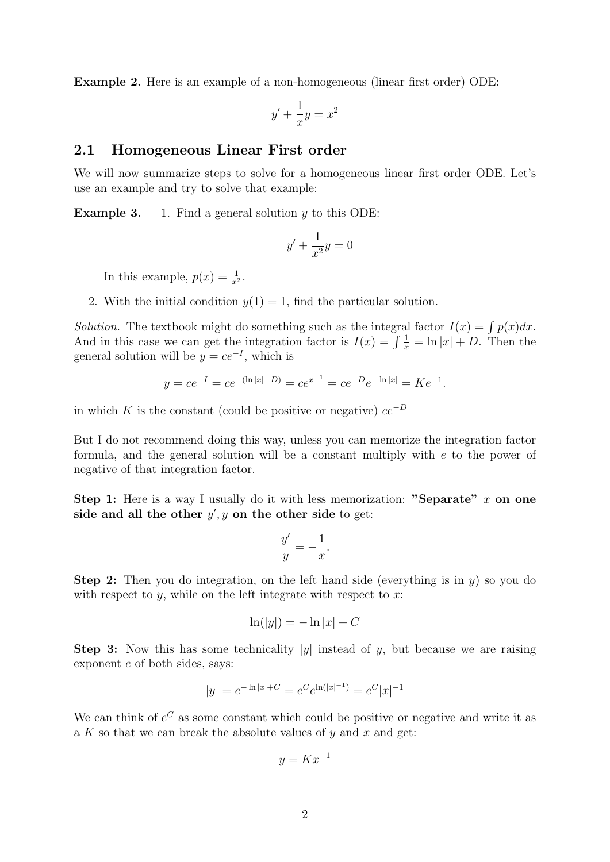Example 2. Here is an example of a non-homogeneous (linear first order) ODE:

$$
y' + \frac{1}{x}y = x^2
$$

#### 2.1 Homogeneous Linear First order

We will now summarize steps to solve for a homogeneous linear first order ODE. Let's use an example and try to solve that example:

**Example 3.** 1. Find a general solution  $y$  to this ODE:

$$
y' + \frac{1}{x^2}y = 0
$$

In this example,  $p(x) = \frac{1}{x^2}$ .

2. With the initial condition  $y(1) = 1$ , find the particular solution.

Solution. The textbook might do something such as the integral factor  $I(x) = \int p(x)dx$ . And in this case we can get the integration factor is  $I(x) = \int \frac{1}{x} = \ln |x| + D$ . Then the general solution will be  $y = ce^{-I}$ , which is

$$
y = ce^{-I} = ce^{-(\ln|x|+D)} = ce^{x^{-1}} = ce^{-D}e^{-\ln|x|} = Ke^{-1}.
$$

in which K is the constant (could be positive or negative)  $ce^{-D}$ 

But I do not recommend doing this way, unless you can memorize the integration factor formula, and the general solution will be a constant multiply with e to the power of negative of that integration factor.

Step 1: Here is a way I usually do it with less memorization: "Separate"  $x$  on one side and all the other  $y', y$  on the other side to get:

$$
\frac{y'}{y} = -\frac{1}{x}.
$$

**Step 2:** Then you do integration, on the left hand side (everything is in  $y$ ) so you do with respect to  $y$ , while on the left integrate with respect to  $x$ :

$$
\ln(|y|) = -\ln|x| + C
$$

**Step 3:** Now this has some technicality  $|y|$  instead of y, but because we are raising exponent e of both sides, says:

$$
|y| = e^{-\ln|x| + C} = e^C e^{\ln(|x|^{-1})} = e^C |x|^{-1}
$$

We can think of  $e^C$  as some constant which could be positive or negative and write it as a K so that we can break the absolute values of  $y$  and  $x$  and get:

$$
y = Kx^{-1}
$$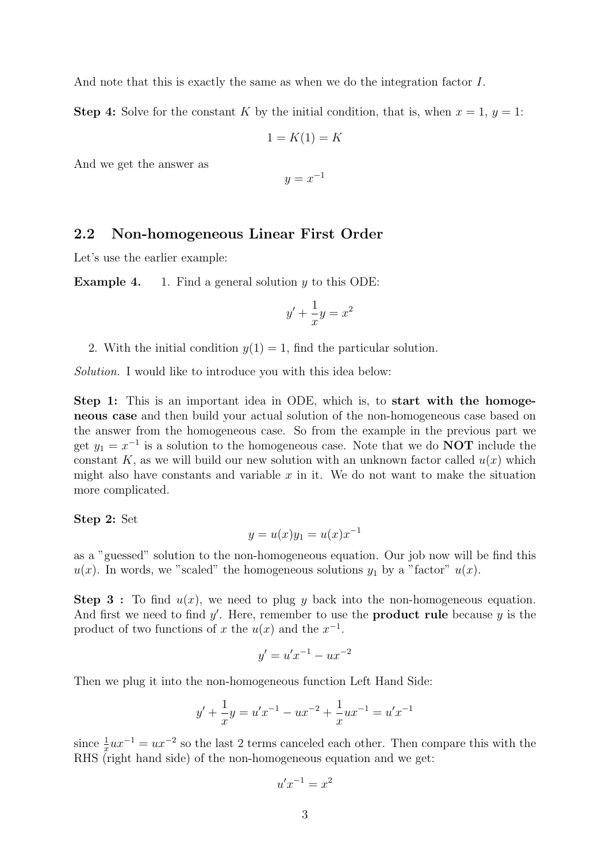And note that this is exactly the same as when we do the integration factor I.

**Step 4:** Solve for the constant K by the initial condition, that is, when  $x = 1$ ,  $y = 1$ :

$$
1 = K(1) = K
$$

And we get the answer as

$$
y = x^{-1}
$$

### 2.2 Non-homogeneous Linear First Order

Let's use the earlier example:

**Example 4.** 1. Find a general solution  $y$  to this ODE:

$$
y' + \frac{1}{x}y = x^2
$$

2. With the initial condition  $y(1) = 1$ , find the particular solution.

Solution. I would like to introduce you with this idea below:

Step 1: This is an important idea in ODE, which is, to start with the homogeneous case and then build your actual solution of the non-homogeneous case based on the answer from the homogeneous case. So from the example in the previous part we get  $y_1 = x^{-1}$  is a solution to the homogeneous case. Note that we do **NOT** include the constant K, as we will build our new solution with an unknown factor called  $u(x)$  which might also have constants and variable  $x$  in it. We do not want to make the situation more complicated.

Step 2: Set

$$
y = u(x)y_1 = u(x)x^{-1}
$$

as a "guessed" solution to the non-homogeneous equation. Our job now will be find this  $u(x)$ . In words, we "scaled" the homogeneous solutions  $y_1$  by a "factor"  $u(x)$ .

**Step 3**: To find  $u(x)$ , we need to plug y back into the non-homogeneous equation. And first we need to find  $y'$ . Here, remember to use the **product rule** because  $y$  is the product of two functions of x the  $u(x)$  and the  $x^{-1}$ .

$$
y' = u'x^{-1} - ux^{-2}
$$

Then we plug it into the non-homogeneous function Left Hand Side:

$$
y' + \frac{1}{x}y = u'x^{-1} - ux^{-2} + \frac{1}{x}ux^{-1} = u'x^{-1}
$$

since  $\frac{1}{x}ux^{-1} = ux^{-2}$  so the last 2 terms canceled each other. Then compare this with the RHS (right hand side) of the non-homogeneous equation and we get:

$$
u'x^{-1} = x^2
$$